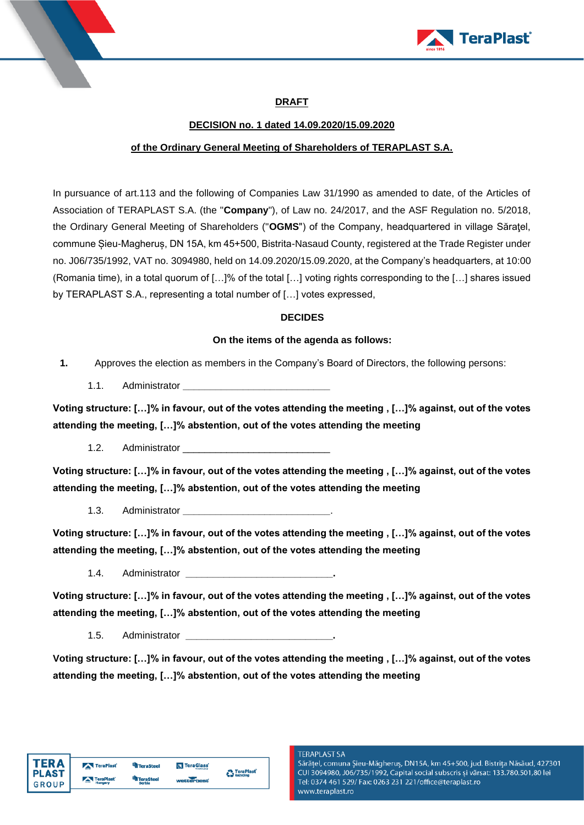



# **DRAFT**

### **DECISION no. 1 dated 14.09.2020/15.09.2020**

### **of the Ordinary General Meeting of Shareholders of TERAPLAST S.A.**

In pursuance of art.113 and the following of Companies Law 31/1990 as amended to date, of the Articles of Association of TERAPLAST S.A. (the "**Company**"), of Law no. 24/2017, and the ASF Regulation no. 5/2018, the Ordinary General Meeting of Shareholders ("**OGMS**") of the Company, headquartered in village Săraţel, commune Șieu-Magheruș, DN 15A, km 45+500, Bistrita-Nasaud County, registered at the Trade Register under no. J06/735/1992, VAT no. 3094980, held on 14.09.2020/15.09.2020, at the Company's headquarters, at 10:00 (Romania time), in a total quorum of […]% of the total […] voting rights corresponding to the […] shares issued by TERAPLAST S.A., representing a total number of […] votes expressed,

### **DECIDES**

### **On the items of the agenda as follows:**

- **1.** Approves the election as members in the Company's Board of Directors, the following persons:
	- 1.1. Administrator **\_\_\_\_\_\_\_\_\_\_\_\_\_\_\_\_\_\_\_\_\_\_\_\_\_\_\_**

**Voting structure: […]% in favour, out of the votes attending the meeting , […]% against, out of the votes attending the meeting, […]% abstention, out of the votes attending the meeting**

1.2. Administrator

**Voting structure: […]% in favour, out of the votes attending the meeting , […]% against, out of the votes attending the meeting, […]% abstention, out of the votes attending the meeting**

1.3. Administrator **\_\_\_\_\_\_\_\_\_\_\_\_\_\_\_\_\_\_\_\_\_\_\_\_\_\_\_**.

**Voting structure: […]% in favour, out of the votes attending the meeting , […]% against, out of the votes attending the meeting, […]% abstention, out of the votes attending the meeting**

1.4. Administrator **\_\_\_\_\_\_\_\_\_\_\_\_\_\_\_\_\_\_\_\_\_\_\_\_\_\_\_.**

**Voting structure: […]% in favour, out of the votes attending the meeting , […]% against, out of the votes attending the meeting, […]% abstention, out of the votes attending the meeting**

1.5. Administrator **\_\_\_\_\_\_\_\_\_\_\_\_\_\_\_\_\_\_\_\_\_\_\_\_\_\_\_.**

**Voting structure: […]% in favour, out of the votes attending the meeting , […]% against, out of the votes attending the meeting, […]% abstention, out of the votes attending the meeting**

Sărățel, comuna Șieu-Măgheruș, DN15A, km 45+500, jud. Bistrița Năsăud, 427301 CUI 3094980, J06/735/1992, Capital social subscris și vărsat: 133.780.501,80 lei Tel: 0374 461 529/ Fax: 0263 231 221/office@teraplast.ro www.teraplast.ro